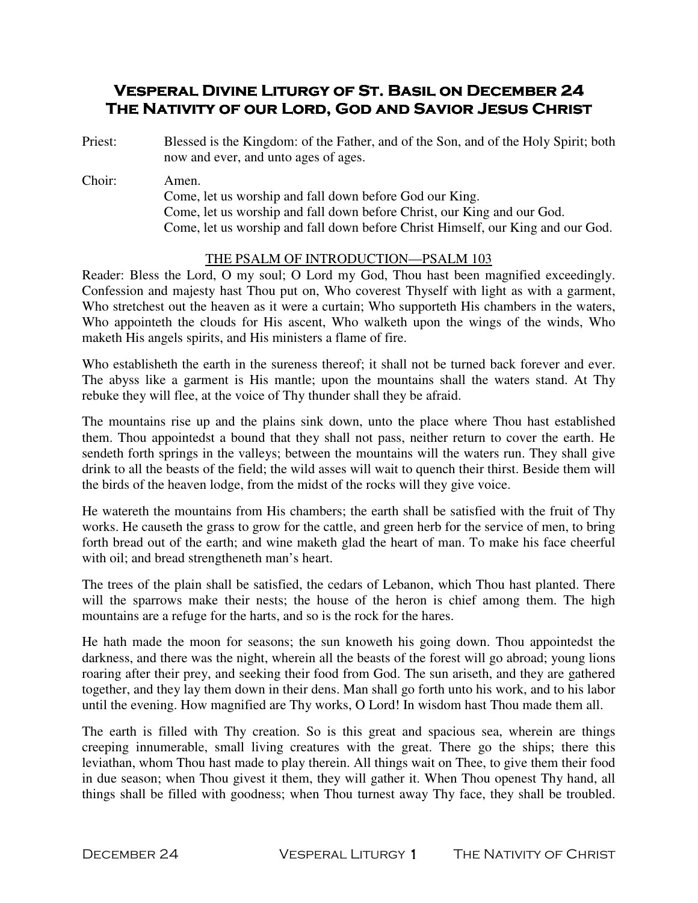# VESPERAL DIVINE LITURGY OF ST. BASIL ON DECEMBER 24 THE NATIVITY OF OUR LORD, GOD AND SAVIOR JESUS CHRIST

- Priest: Blessed is the Kingdom: of the Father, and of the Son, and of the Holy Spirit; both now and ever, and unto ages of ages.
- Choir: Amen. Come, let us worship and fall down before God our King. Come, let us worship and fall down before Christ, our King and our God. Come, let us worship and fall down before Christ Himself, our King and our God.

## THE PSALM OF INTRODUCTION—PSALM 103

Reader: Bless the Lord, O my soul; O Lord my God, Thou hast been magnified exceedingly. Confession and majesty hast Thou put on, Who coverest Thyself with light as with a garment, Who stretchest out the heaven as it were a curtain; Who supporteth His chambers in the waters, Who appointeth the clouds for His ascent, Who walketh upon the wings of the winds, Who maketh His angels spirits, and His ministers a flame of fire.

Who establisheth the earth in the sureness thereof; it shall not be turned back forever and ever. The abyss like a garment is His mantle; upon the mountains shall the waters stand. At Thy rebuke they will flee, at the voice of Thy thunder shall they be afraid.

The mountains rise up and the plains sink down, unto the place where Thou hast established them. Thou appointedst a bound that they shall not pass, neither return to cover the earth. He sendeth forth springs in the valleys; between the mountains will the waters run. They shall give drink to all the beasts of the field; the wild asses will wait to quench their thirst. Beside them will the birds of the heaven lodge, from the midst of the rocks will they give voice.

He watereth the mountains from His chambers; the earth shall be satisfied with the fruit of Thy works. He causeth the grass to grow for the cattle, and green herb for the service of men, to bring forth bread out of the earth; and wine maketh glad the heart of man. To make his face cheerful with oil; and bread strengtheneth man's heart.

The trees of the plain shall be satisfied, the cedars of Lebanon, which Thou hast planted. There will the sparrows make their nests; the house of the heron is chief among them. The high mountains are a refuge for the harts, and so is the rock for the hares.

He hath made the moon for seasons; the sun knoweth his going down. Thou appointedst the darkness, and there was the night, wherein all the beasts of the forest will go abroad; young lions roaring after their prey, and seeking their food from God. The sun ariseth, and they are gathered together, and they lay them down in their dens. Man shall go forth unto his work, and to his labor until the evening. How magnified are Thy works, O Lord! In wisdom hast Thou made them all.

The earth is filled with Thy creation. So is this great and spacious sea, wherein are things creeping innumerable, small living creatures with the great. There go the ships; there this leviathan, whom Thou hast made to play therein. All things wait on Thee, to give them their food in due season; when Thou givest it them, they will gather it. When Thou openest Thy hand, all things shall be filled with goodness; when Thou turnest away Thy face, they shall be troubled.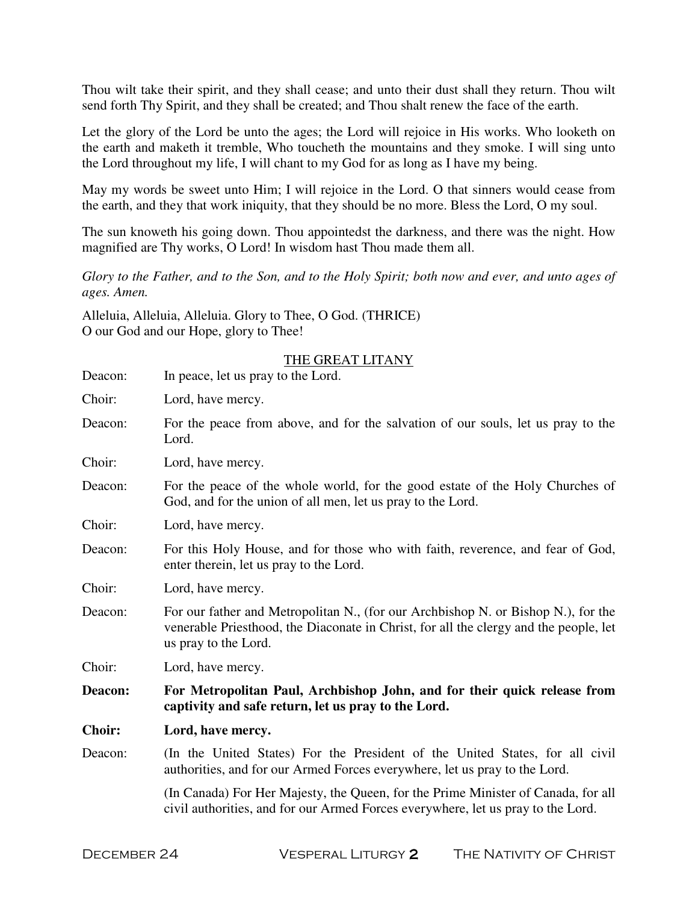Thou wilt take their spirit, and they shall cease; and unto their dust shall they return. Thou wilt send forth Thy Spirit, and they shall be created; and Thou shalt renew the face of the earth.

Let the glory of the Lord be unto the ages; the Lord will rejoice in His works. Who looketh on the earth and maketh it tremble, Who toucheth the mountains and they smoke. I will sing unto the Lord throughout my life, I will chant to my God for as long as I have my being.

May my words be sweet unto Him; I will rejoice in the Lord. O that sinners would cease from the earth, and they that work iniquity, that they should be no more. Bless the Lord, O my soul.

The sun knoweth his going down. Thou appointedst the darkness, and there was the night. How magnified are Thy works, O Lord! In wisdom hast Thou made them all.

*Glory to the Father, and to the Son, and to the Holy Spirit; both now and ever, and unto ages of ages. Amen.* 

Alleluia, Alleluia, Alleluia. Glory to Thee, O God. (THRICE) O our God and our Hope, glory to Thee!

| Deacon:       | THE GREAT LITANY<br>In peace, let us pray to the Lord.                                                                                                                                             |  |
|---------------|----------------------------------------------------------------------------------------------------------------------------------------------------------------------------------------------------|--|
| Choir:        | Lord, have mercy.                                                                                                                                                                                  |  |
| Deacon:       | For the peace from above, and for the salvation of our souls, let us pray to the<br>Lord.                                                                                                          |  |
| Choir:        | Lord, have mercy.                                                                                                                                                                                  |  |
| Deacon:       | For the peace of the whole world, for the good estate of the Holy Churches of<br>God, and for the union of all men, let us pray to the Lord.                                                       |  |
| Choir:        | Lord, have mercy.                                                                                                                                                                                  |  |
| Deacon:       | For this Holy House, and for those who with faith, reverence, and fear of God,<br>enter therein, let us pray to the Lord.                                                                          |  |
| Choir:        | Lord, have mercy.                                                                                                                                                                                  |  |
| Deacon:       | For our father and Metropolitan N., (for our Archbishop N. or Bishop N.), for the<br>venerable Priesthood, the Diaconate in Christ, for all the clergy and the people, let<br>us pray to the Lord. |  |
| Choir:        | Lord, have mercy.                                                                                                                                                                                  |  |
| Deacon:       | For Metropolitan Paul, Archbishop John, and for their quick release from<br>captivity and safe return, let us pray to the Lord.                                                                    |  |
| <b>Choir:</b> | Lord, have mercy.                                                                                                                                                                                  |  |
| Deacon:       | (In the United States) For the President of the United States, for all civil<br>authorities, and for our Armed Forces everywhere, let us pray to the Lord.                                         |  |
|               | (In Canada) For Her Majesty, the Queen, for the Prime Minister of Canada, for all<br>civil authorities, and for our Armed Forces everywhere, let us pray to the Lord.                              |  |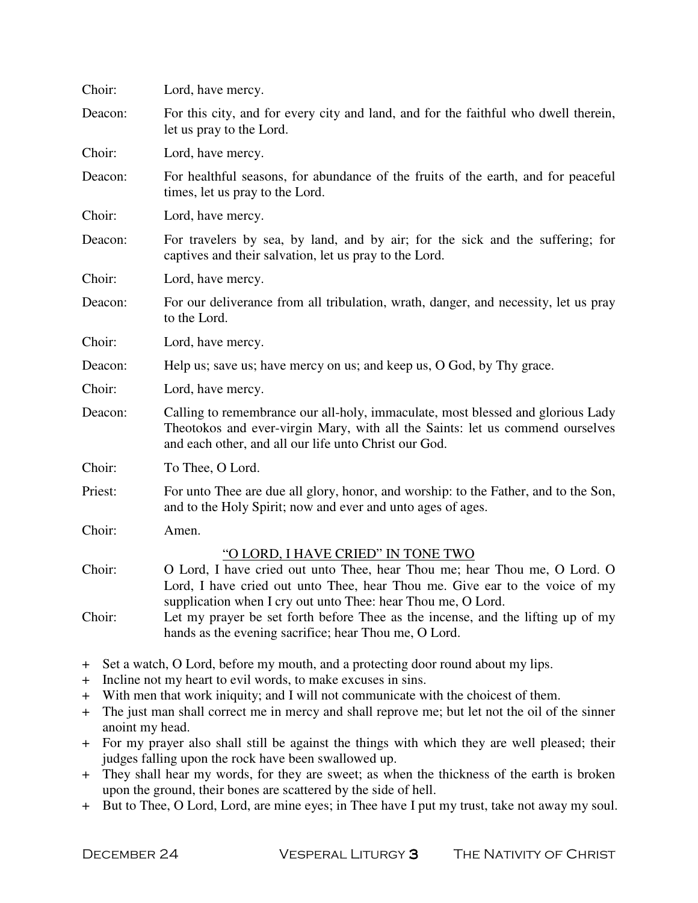| Choir:                   | Lord, have mercy.                                                                                                                                                                                                                                              |  |
|--------------------------|----------------------------------------------------------------------------------------------------------------------------------------------------------------------------------------------------------------------------------------------------------------|--|
| Deacon:                  | For this city, and for every city and land, and for the faithful who dwell therein,<br>let us pray to the Lord.                                                                                                                                                |  |
| Choir:                   | Lord, have mercy.                                                                                                                                                                                                                                              |  |
| Deacon:                  | For healthful seasons, for abundance of the fruits of the earth, and for peaceful<br>times, let us pray to the Lord.                                                                                                                                           |  |
| Choir:                   | Lord, have mercy.                                                                                                                                                                                                                                              |  |
| Deacon:                  | For travelers by sea, by land, and by air; for the sick and the suffering; for<br>captives and their salvation, let us pray to the Lord.                                                                                                                       |  |
| Choir:                   | Lord, have mercy.                                                                                                                                                                                                                                              |  |
| Deacon:                  | For our deliverance from all tribulation, wrath, danger, and necessity, let us pray<br>to the Lord.                                                                                                                                                            |  |
| Choir:                   | Lord, have mercy.                                                                                                                                                                                                                                              |  |
| Deacon:                  | Help us; save us; have mercy on us; and keep us, O God, by Thy grace.                                                                                                                                                                                          |  |
| Choir:                   | Lord, have mercy.                                                                                                                                                                                                                                              |  |
| Deacon:                  | Calling to remembrance our all-holy, immaculate, most blessed and glorious Lady<br>Theotokos and ever-virgin Mary, with all the Saints: let us commend ourselves<br>and each other, and all our life unto Christ our God.                                      |  |
| Choir:                   | To Thee, O Lord.                                                                                                                                                                                                                                               |  |
| Priest:                  | For unto Thee are due all glory, honor, and worship: to the Father, and to the Son,<br>and to the Holy Spirit; now and ever and unto ages of ages.                                                                                                             |  |
| Choir:                   | Amen.                                                                                                                                                                                                                                                          |  |
| Choir:                   | "O LORD, I HAVE CRIED" IN TONE TWO<br>O Lord, I have cried out unto Thee, hear Thou me; hear Thou me, O Lord. O<br>Lord, I have cried out unto Thee, hear Thou me. Give ear to the voice of my<br>supplication when I cry out unto Thee: hear Thou me, O Lord. |  |
| Choir:                   | Let my prayer be set forth before Thee as the incense, and the lifting up of my<br>hands as the evening sacrifice; hear Thou me, O Lord.                                                                                                                       |  |
| $\bm{+}$<br>$\bm{+}$     | Set a watch, O Lord, before my mouth, and a protecting door round about my lips.<br>Incline not my heart to evil words, to make excuses in sins.                                                                                                               |  |
| $\bm{+}$                 | With men that work iniquity; and I will not communicate with the choicest of them.                                                                                                                                                                             |  |
| $\pm$<br>anoint my head. | The just man shall correct me in mercy and shall reprove me; but let not the oil of the sinner                                                                                                                                                                 |  |
| $\pm$                    | For my prayer also shall still be against the things with which they are well pleased; their<br>judges falling upon the rock have been swallowed up.                                                                                                           |  |

- + They shall hear my words, for they are sweet; as when the thickness of the earth is broken upon the ground, their bones are scattered by the side of hell.
- + But to Thee, O Lord, Lord, are mine eyes; in Thee have I put my trust, take not away my soul.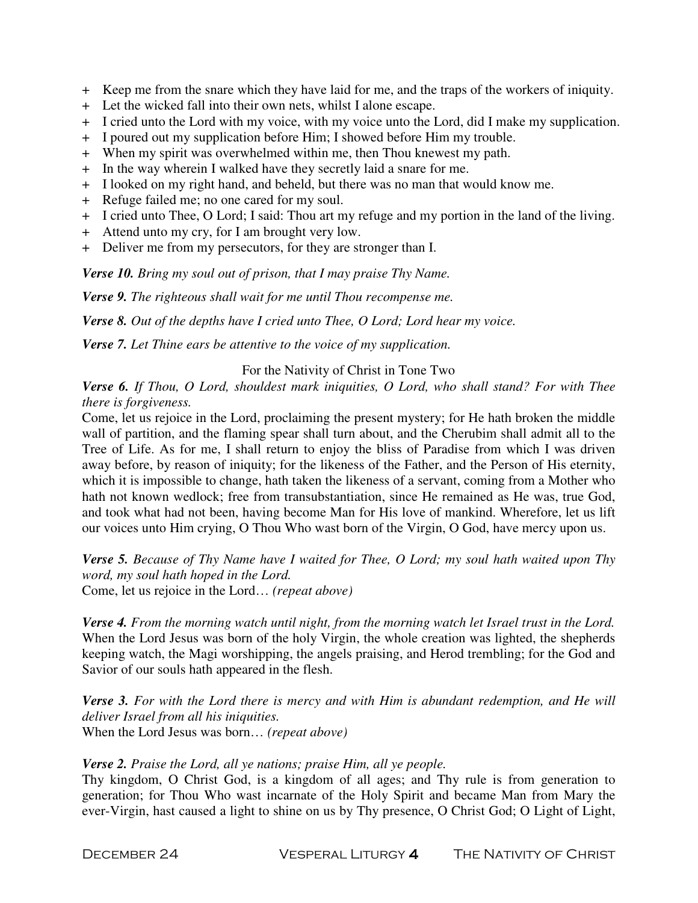- + Keep me from the snare which they have laid for me, and the traps of the workers of iniquity.
- + Let the wicked fall into their own nets, whilst I alone escape.
- + I cried unto the Lord with my voice, with my voice unto the Lord, did I make my supplication.
- + I poured out my supplication before Him; I showed before Him my trouble.
- + When my spirit was overwhelmed within me, then Thou knewest my path.
- + In the way wherein I walked have they secretly laid a snare for me.
- + I looked on my right hand, and beheld, but there was no man that would know me.
- + Refuge failed me; no one cared for my soul.
- + I cried unto Thee, O Lord; I said: Thou art my refuge and my portion in the land of the living.
- + Attend unto my cry, for I am brought very low.
- + Deliver me from my persecutors, for they are stronger than I.

*Verse 10. Bring my soul out of prison, that I may praise Thy Name.* 

*Verse 9. The righteous shall wait for me until Thou recompense me.* 

*Verse 8. Out of the depths have I cried unto Thee, O Lord; Lord hear my voice.* 

*Verse 7. Let Thine ears be attentive to the voice of my supplication.* 

## For the Nativity of Christ in Tone Two

*Verse 6. If Thou, O Lord, shouldest mark iniquities, O Lord, who shall stand? For with Thee there is forgiveness.* 

Come, let us rejoice in the Lord, proclaiming the present mystery; for He hath broken the middle wall of partition, and the flaming spear shall turn about, and the Cherubim shall admit all to the Tree of Life. As for me, I shall return to enjoy the bliss of Paradise from which I was driven away before, by reason of iniquity; for the likeness of the Father, and the Person of His eternity, which it is impossible to change, hath taken the likeness of a servant, coming from a Mother who hath not known wedlock; free from transubstantiation, since He remained as He was, true God, and took what had not been, having become Man for His love of mankind. Wherefore, let us lift our voices unto Him crying, O Thou Who wast born of the Virgin, O God, have mercy upon us.

*Verse 5. Because of Thy Name have I waited for Thee, O Lord; my soul hath waited upon Thy word, my soul hath hoped in the Lord.*  Come, let us rejoice in the Lord… *(repeat above)*

*Verse 4. From the morning watch until night, from the morning watch let Israel trust in the Lord.*  When the Lord Jesus was born of the holy Virgin, the whole creation was lighted, the shepherds keeping watch, the Magi worshipping, the angels praising, and Herod trembling; for the God and Savior of our souls hath appeared in the flesh.

*Verse 3. For with the Lord there is mercy and with Him is abundant redemption, and He will deliver Israel from all his iniquities.*  When the Lord Jesus was born… *(repeat above)* 

## *Verse 2. Praise the Lord, all ye nations; praise Him, all ye people.*

Thy kingdom, O Christ God, is a kingdom of all ages; and Thy rule is from generation to generation; for Thou Who wast incarnate of the Holy Spirit and became Man from Mary the ever-Virgin, hast caused a light to shine on us by Thy presence, O Christ God; O Light of Light,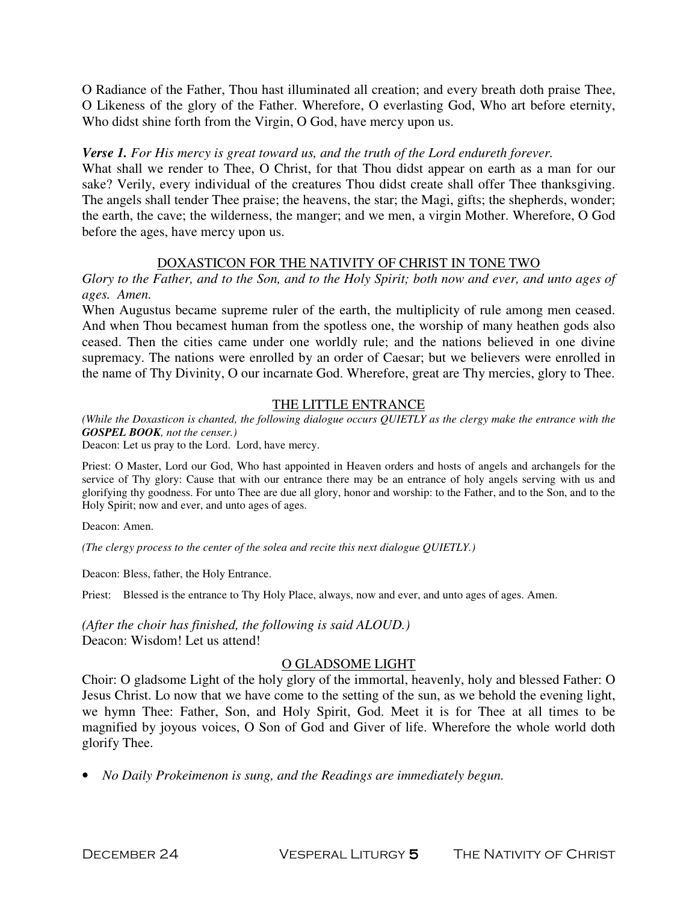O Radiance of the Father, Thou hast illuminated all creation; and every breath doth praise Thee, O Likeness of the glory of the Father. Wherefore, O everlasting God, Who art before eternity, Who didst shine forth from the Virgin, O God, have mercy upon us.

### *Verse 1. For His mercy is great toward us, and the truth of the Lord endureth forever.*

What shall we render to Thee, O Christ, for that Thou didst appear on earth as a man for our sake? Verily, every individual of the creatures Thou didst create shall offer Thee thanksgiving. The angels shall tender Thee praise; the heavens, the star; the Magi, gifts; the shepherds, wonder; the earth, the cave; the wilderness, the manger; and we men, a virgin Mother. Wherefore, O God before the ages, have mercy upon us.

#### DOXASTICON FOR THE NATIVITY OF CHRIST IN TONE TWO

*Glory to the Father, and to the Son, and to the Holy Spirit; both now and ever, and unto ages of ages. Amen.* 

When Augustus became supreme ruler of the earth, the multiplicity of rule among men ceased. And when Thou becamest human from the spotless one, the worship of many heathen gods also ceased. Then the cities came under one worldly rule; and the nations believed in one divine supremacy. The nations were enrolled by an order of Caesar; but we believers were enrolled in the name of Thy Divinity, O our incarnate God. Wherefore, great are Thy mercies, glory to Thee.

## THE LITTLE ENTRANCE

*(While the Doxasticon is chanted, the following dialogue occurs QUIETLY as the clergy make the entrance with the GOSPEL BOOK, not the censer.)* 

Deacon: Let us pray to the Lord. Lord, have mercy.

Priest: O Master, Lord our God, Who hast appointed in Heaven orders and hosts of angels and archangels for the service of Thy glory: Cause that with our entrance there may be an entrance of holy angels serving with us and glorifying thy goodness. For unto Thee are due all glory, honor and worship: to the Father, and to the Son, and to the Holy Spirit; now and ever, and unto ages of ages.

Deacon: Amen.

*(The clergy process to the center of the solea and recite this next dialogue QUIETLY.)* 

Deacon: Bless, father, the Holy Entrance.

Priest: Blessed is the entrance to Thy Holy Place, always, now and ever, and unto ages of ages. Amen.

*(After the choir has finished, the following is said ALOUD.)*  Deacon: Wisdom! Let us attend!

## O GLADSOME LIGHT

Choir: O gladsome Light of the holy glory of the immortal, heavenly, holy and blessed Father: O Jesus Christ. Lo now that we have come to the setting of the sun, as we behold the evening light, we hymn Thee: Father, Son, and Holy Spirit, God. Meet it is for Thee at all times to be magnified by joyous voices, O Son of God and Giver of life. Wherefore the whole world doth glorify Thee.

• *No Daily Prokeimenon is sung, and the Readings are immediately begun.*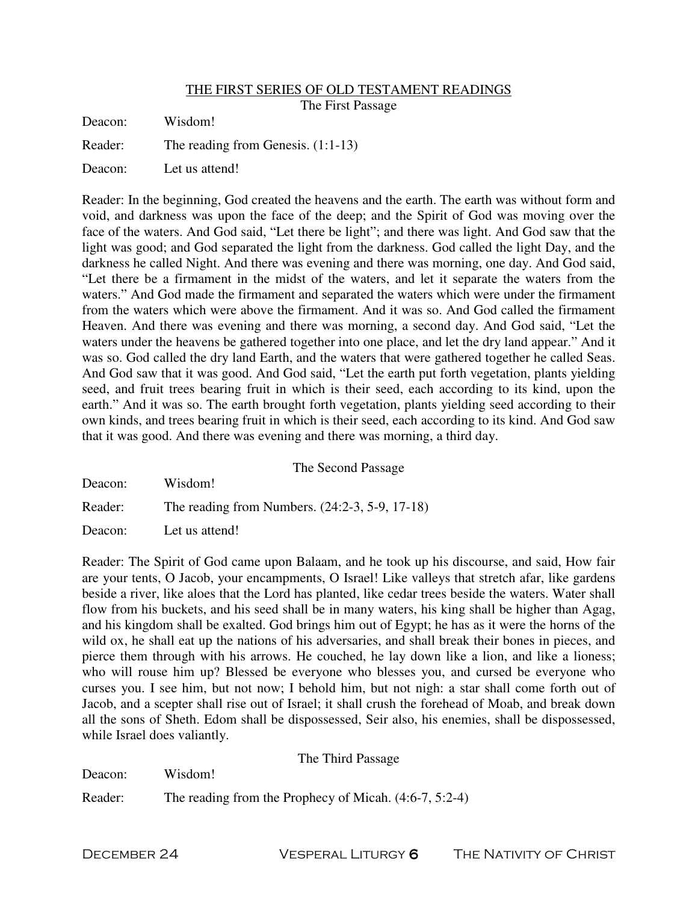#### THE FIRST SERIES OF OLD TESTAMENT READINGS

The First Passage

| Deacon: | Wisdom!                              |
|---------|--------------------------------------|
| Reader: | The reading from Genesis. $(1:1-13)$ |
| Deacon: | Let us attend!                       |

Reader: In the beginning, God created the heavens and the earth. The earth was without form and void, and darkness was upon the face of the deep; and the Spirit of God was moving over the face of the waters. And God said, "Let there be light"; and there was light. And God saw that the light was good; and God separated the light from the darkness. God called the light Day, and the darkness he called Night. And there was evening and there was morning, one day. And God said, "Let there be a firmament in the midst of the waters, and let it separate the waters from the waters." And God made the firmament and separated the waters which were under the firmament from the waters which were above the firmament. And it was so. And God called the firmament Heaven. And there was evening and there was morning, a second day. And God said, "Let the waters under the heavens be gathered together into one place, and let the dry land appear." And it was so. God called the dry land Earth, and the waters that were gathered together he called Seas. And God saw that it was good. And God said, "Let the earth put forth vegetation, plants yielding seed, and fruit trees bearing fruit in which is their seed, each according to its kind, upon the earth." And it was so. The earth brought forth vegetation, plants yielding seed according to their own kinds, and trees bearing fruit in which is their seed, each according to its kind. And God saw that it was good. And there was evening and there was morning, a third day.

|         | The Second Passage                             |
|---------|------------------------------------------------|
| Deacon: | Wisdom!                                        |
| Reader: | The reading from Numbers. (24:2-3, 5-9, 17-18) |
| Deacon: | Let us attend!                                 |

Reader: The Spirit of God came upon Balaam, and he took up his discourse, and said, How fair are your tents, O Jacob, your encampments, O Israel! Like valleys that stretch afar, like gardens beside a river, like aloes that the Lord has planted, like cedar trees beside the waters. Water shall flow from his buckets, and his seed shall be in many waters, his king shall be higher than Agag, and his kingdom shall be exalted. God brings him out of Egypt; he has as it were the horns of the wild ox, he shall eat up the nations of his adversaries, and shall break their bones in pieces, and pierce them through with his arrows. He couched, he lay down like a lion, and like a lioness; who will rouse him up? Blessed be everyone who blesses you, and cursed be everyone who curses you. I see him, but not now; I behold him, but not nigh: a star shall come forth out of Jacob, and a scepter shall rise out of Israel; it shall crush the forehead of Moab, and break down all the sons of Sheth. Edom shall be dispossessed, Seir also, his enemies, shall be dispossessed, while Israel does valiantly.

The Third Passage

Deacon: Wisdom!

Reader: The reading from the Prophecy of Micah. (4:6-7, 5:2-4)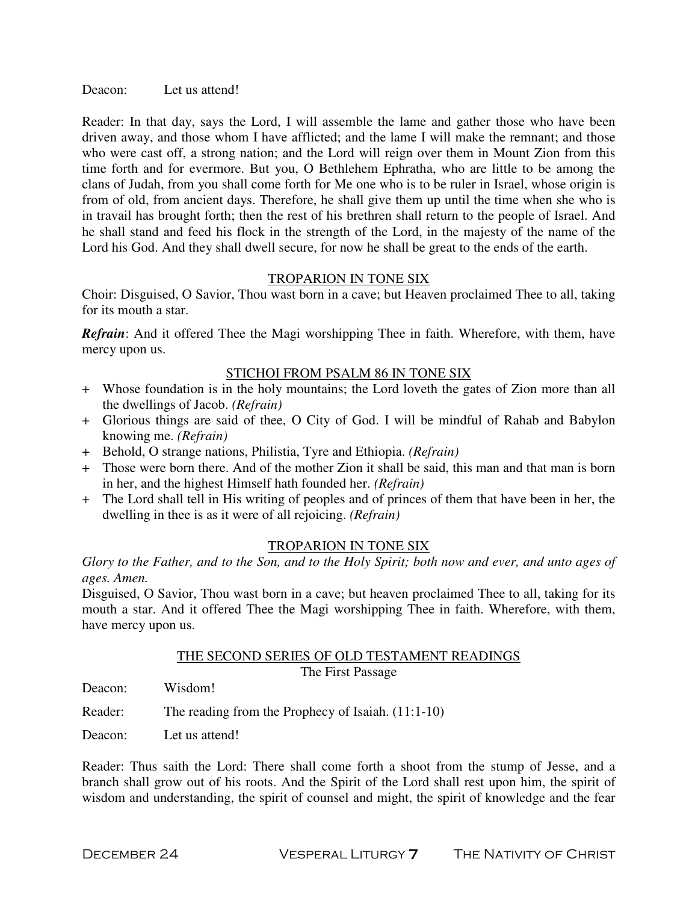Deacon: Let us attend!

Reader: In that day, says the Lord, I will assemble the lame and gather those who have been driven away, and those whom I have afflicted; and the lame I will make the remnant; and those who were cast off, a strong nation; and the Lord will reign over them in Mount Zion from this time forth and for evermore. But you, O Bethlehem Ephratha, who are little to be among the clans of Judah, from you shall come forth for Me one who is to be ruler in Israel, whose origin is from of old, from ancient days. Therefore, he shall give them up until the time when she who is in travail has brought forth; then the rest of his brethren shall return to the people of Israel. And he shall stand and feed his flock in the strength of the Lord, in the majesty of the name of the Lord his God. And they shall dwell secure, for now he shall be great to the ends of the earth.

## TROPARION IN TONE SIX

Choir: Disguised, O Savior, Thou wast born in a cave; but Heaven proclaimed Thee to all, taking for its mouth a star.

*Refrain*: And it offered Thee the Magi worshipping Thee in faith. Wherefore, with them, have mercy upon us.

#### STICHOI FROM PSALM 86 IN TONE SIX

- + Whose foundation is in the holy mountains; the Lord loveth the gates of Zion more than all the dwellings of Jacob. *(Refrain)*
- + Glorious things are said of thee, O City of God. I will be mindful of Rahab and Babylon knowing me. *(Refrain)*
- + Behold, O strange nations, Philistia, Tyre and Ethiopia. *(Refrain)*
- + Those were born there. And of the mother Zion it shall be said, this man and that man is born in her, and the highest Himself hath founded her. *(Refrain)*
- + The Lord shall tell in His writing of peoples and of princes of them that have been in her, the dwelling in thee is as it were of all rejoicing. *(Refrain)*

#### TROPARION IN TONE SIX

*Glory to the Father, and to the Son, and to the Holy Spirit; both now and ever, and unto ages of ages. Amen.* 

Disguised, O Savior, Thou wast born in a cave; but heaven proclaimed Thee to all, taking for its mouth a star. And it offered Thee the Magi worshipping Thee in faith. Wherefore, with them, have mercy upon us.

## THE SECOND SERIES OF OLD TESTAMENT READINGS

The First Passage

Deacon: Wisdom!

- Reader: The reading from the Prophecy of Isaiah. (11:1-10)
- Deacon: Let us attend!

Reader: Thus saith the Lord: There shall come forth a shoot from the stump of Jesse, and a branch shall grow out of his roots. And the Spirit of the Lord shall rest upon him, the spirit of wisdom and understanding, the spirit of counsel and might, the spirit of knowledge and the fear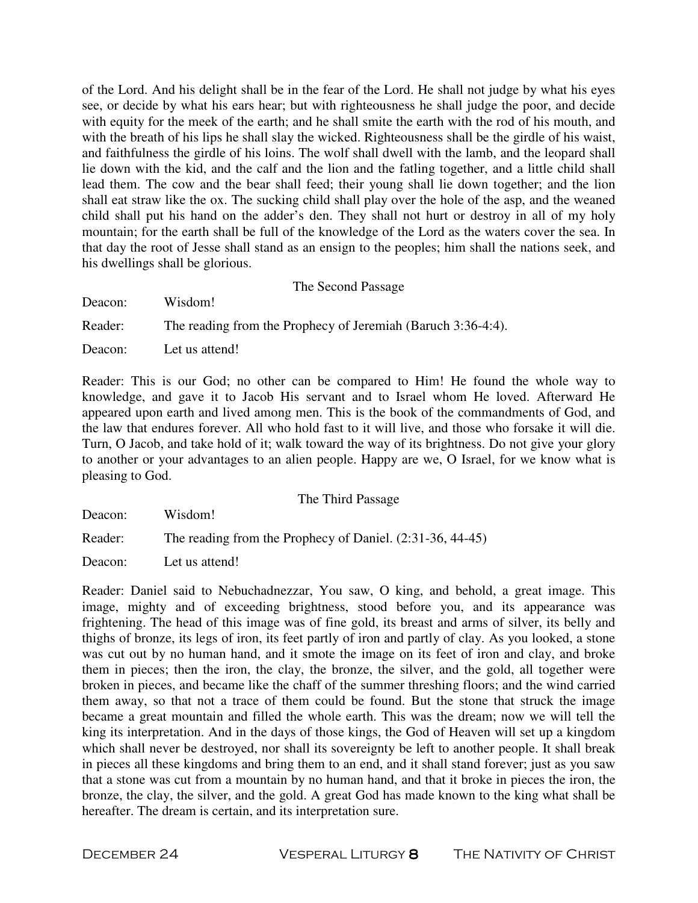of the Lord. And his delight shall be in the fear of the Lord. He shall not judge by what his eyes see, or decide by what his ears hear; but with righteousness he shall judge the poor, and decide with equity for the meek of the earth; and he shall smite the earth with the rod of his mouth, and with the breath of his lips he shall slay the wicked. Righteousness shall be the girdle of his waist, and faithfulness the girdle of his loins. The wolf shall dwell with the lamb, and the leopard shall lie down with the kid, and the calf and the lion and the fatling together, and a little child shall lead them. The cow and the bear shall feed; their young shall lie down together; and the lion shall eat straw like the ox. The sucking child shall play over the hole of the asp, and the weaned child shall put his hand on the adder's den. They shall not hurt or destroy in all of my holy mountain; for the earth shall be full of the knowledge of the Lord as the waters cover the sea. In that day the root of Jesse shall stand as an ensign to the peoples; him shall the nations seek, and his dwellings shall be glorious.

|         | The Second Passage                                           |
|---------|--------------------------------------------------------------|
| Deacon: | Wisdom!                                                      |
| Reader: | The reading from the Prophecy of Jeremiah (Baruch 3:36-4:4). |
| Deacon: | Let us attend!                                               |

Reader: This is our God; no other can be compared to Him! He found the whole way to knowledge, and gave it to Jacob His servant and to Israel whom He loved. Afterward He appeared upon earth and lived among men. This is the book of the commandments of God, and the law that endures forever. All who hold fast to it will live, and those who forsake it will die. Turn, O Jacob, and take hold of it; walk toward the way of its brightness. Do not give your glory to another or your advantages to an alien people. Happy are we, O Israel, for we know what is pleasing to God.

|         | The Third Passage                                           |
|---------|-------------------------------------------------------------|
| Deacon: | Wisdom!                                                     |
| Reader: | The reading from the Prophecy of Daniel. $(2:31-36, 44-45)$ |
| Deacon: | Let us attend!                                              |

Reader: Daniel said to Nebuchadnezzar, You saw, O king, and behold, a great image. This image, mighty and of exceeding brightness, stood before you, and its appearance was frightening. The head of this image was of fine gold, its breast and arms of silver, its belly and thighs of bronze, its legs of iron, its feet partly of iron and partly of clay. As you looked, a stone was cut out by no human hand, and it smote the image on its feet of iron and clay, and broke them in pieces; then the iron, the clay, the bronze, the silver, and the gold, all together were broken in pieces, and became like the chaff of the summer threshing floors; and the wind carried them away, so that not a trace of them could be found. But the stone that struck the image became a great mountain and filled the whole earth. This was the dream; now we will tell the king its interpretation. And in the days of those kings, the God of Heaven will set up a kingdom which shall never be destroyed, nor shall its sovereignty be left to another people. It shall break in pieces all these kingdoms and bring them to an end, and it shall stand forever; just as you saw that a stone was cut from a mountain by no human hand, and that it broke in pieces the iron, the bronze, the clay, the silver, and the gold. A great God has made known to the king what shall be hereafter. The dream is certain, and its interpretation sure.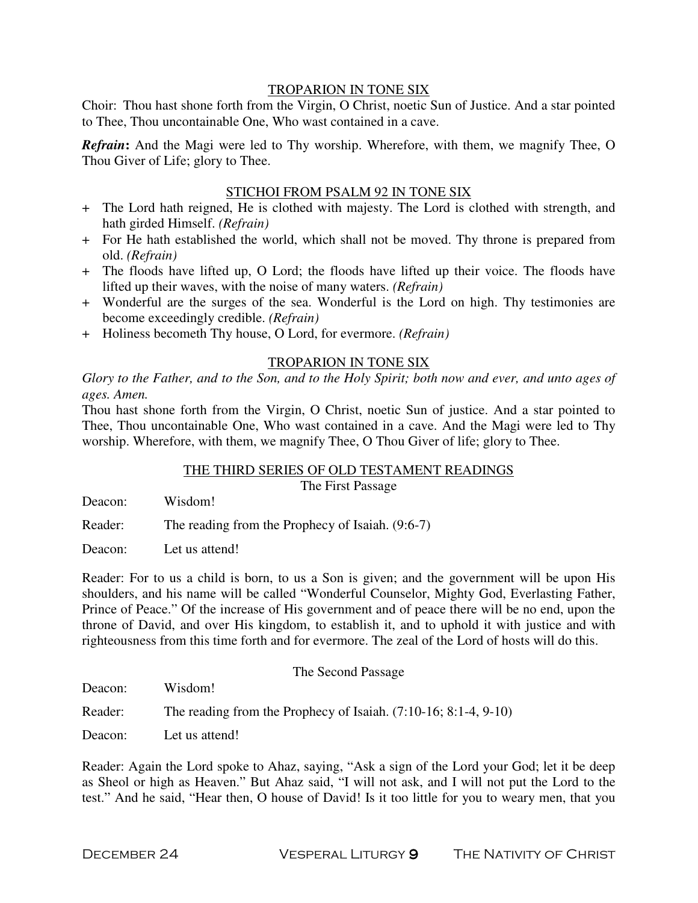#### TROPARION IN TONE SIX

Choir: Thou hast shone forth from the Virgin, O Christ, noetic Sun of Justice. And a star pointed to Thee, Thou uncontainable One, Who wast contained in a cave.

*Refrain***:** And the Magi were led to Thy worship. Wherefore, with them, we magnify Thee, O Thou Giver of Life; glory to Thee.

## STICHOI FROM PSALM 92 IN TONE SIX

- + The Lord hath reigned, He is clothed with majesty. The Lord is clothed with strength, and hath girded Himself. *(Refrain)*
- + For He hath established the world, which shall not be moved. Thy throne is prepared from old. *(Refrain)*
- + The floods have lifted up, O Lord; the floods have lifted up their voice. The floods have lifted up their waves, with the noise of many waters. *(Refrain)*
- + Wonderful are the surges of the sea. Wonderful is the Lord on high. Thy testimonies are become exceedingly credible. *(Refrain)*
- + Holiness becometh Thy house, O Lord, for evermore. *(Refrain)*

#### TROPARION IN TONE SIX

*Glory to the Father, and to the Son, and to the Holy Spirit; both now and ever, and unto ages of ages. Amen.* 

Thou hast shone forth from the Virgin, O Christ, noetic Sun of justice. And a star pointed to Thee, Thou uncontainable One, Who wast contained in a cave. And the Magi were led to Thy worship. Wherefore, with them, we magnify Thee, O Thou Giver of life; glory to Thee.

## THE THIRD SERIES OF OLD TESTAMENT READINGS

The First Passage

Deacon: Wisdom!

Reader: The reading from the Prophecy of Isaiah. (9:6-7)

Deacon: Let us attend!

Reader: For to us a child is born, to us a Son is given; and the government will be upon His shoulders, and his name will be called "Wonderful Counselor, Mighty God, Everlasting Father, Prince of Peace." Of the increase of His government and of peace there will be no end, upon the throne of David, and over His kingdom, to establish it, and to uphold it with justice and with righteousness from this time forth and for evermore. The zeal of the Lord of hosts will do this.

| Deacon: | The Second Passage                                                |
|---------|-------------------------------------------------------------------|
|         | Wisdom!                                                           |
| Reader: | The reading from the Prophecy of Isaiah. $(7:10-16; 8:1-4, 9-10)$ |
| Deacon: | Let us attend!                                                    |

Reader: Again the Lord spoke to Ahaz, saying, "Ask a sign of the Lord your God; let it be deep as Sheol or high as Heaven." But Ahaz said, "I will not ask, and I will not put the Lord to the test." And he said, "Hear then, O house of David! Is it too little for you to weary men, that you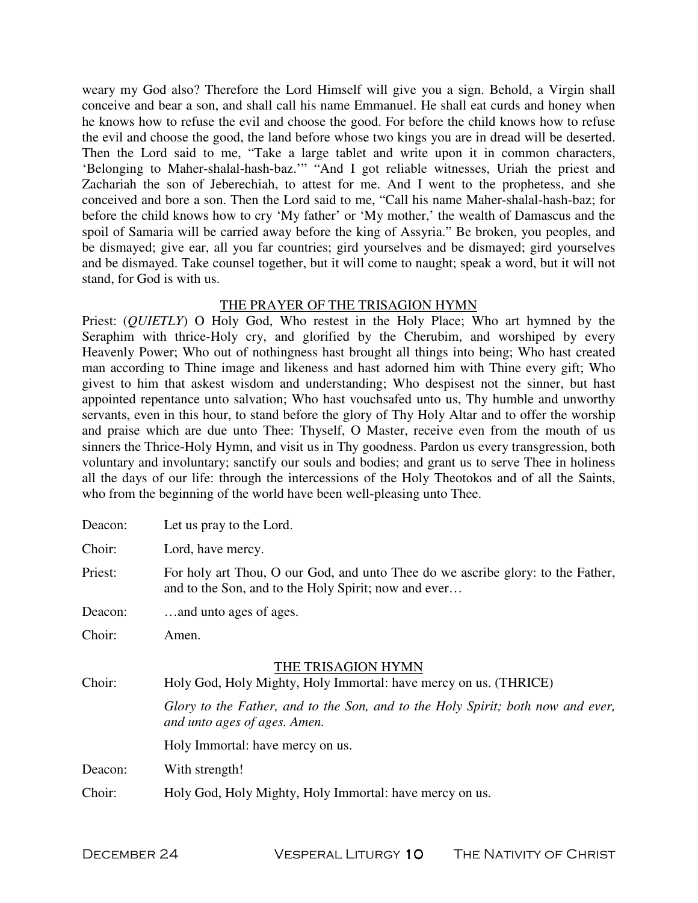weary my God also? Therefore the Lord Himself will give you a sign. Behold, a Virgin shall conceive and bear a son, and shall call his name Emmanuel. He shall eat curds and honey when he knows how to refuse the evil and choose the good. For before the child knows how to refuse the evil and choose the good, the land before whose two kings you are in dread will be deserted. Then the Lord said to me, "Take a large tablet and write upon it in common characters, 'Belonging to Maher-shalal-hash-baz.'" "And I got reliable witnesses, Uriah the priest and Zachariah the son of Jeberechiah, to attest for me. And I went to the prophetess, and she conceived and bore a son. Then the Lord said to me, "Call his name Maher-shalal-hash-baz; for before the child knows how to cry 'My father' or 'My mother,' the wealth of Damascus and the spoil of Samaria will be carried away before the king of Assyria." Be broken, you peoples, and be dismayed; give ear, all you far countries; gird yourselves and be dismayed; gird yourselves and be dismayed. Take counsel together, but it will come to naught; speak a word, but it will not stand, for God is with us.

## THE PRAYER OF THE TRISAGION HYMN

Priest: (*QUIETLY*) O Holy God, Who restest in the Holy Place; Who art hymned by the Seraphim with thrice-Holy cry, and glorified by the Cherubim, and worshiped by every Heavenly Power; Who out of nothingness hast brought all things into being; Who hast created man according to Thine image and likeness and hast adorned him with Thine every gift; Who givest to him that askest wisdom and understanding; Who despisest not the sinner, but hast appointed repentance unto salvation; Who hast vouchsafed unto us, Thy humble and unworthy servants, even in this hour, to stand before the glory of Thy Holy Altar and to offer the worship and praise which are due unto Thee: Thyself, O Master, receive even from the mouth of us sinners the Thrice-Holy Hymn, and visit us in Thy goodness. Pardon us every transgression, both voluntary and involuntary; sanctify our souls and bodies; and grant us to serve Thee in holiness all the days of our life: through the intercessions of the Holy Theotokos and of all the Saints, who from the beginning of the world have been well-pleasing unto Thee.

| Deacon: | Let us pray to the Lord.                                                                                                                |  |
|---------|-----------------------------------------------------------------------------------------------------------------------------------------|--|
| Choir:  | Lord, have mercy.                                                                                                                       |  |
| Priest: | For holy art Thou, O our God, and unto Thee do we ascribe glory: to the Father,<br>and to the Son, and to the Holy Spirit; now and ever |  |
| Deacon: | and unto ages of ages.                                                                                                                  |  |
| Choir:  | Amen.                                                                                                                                   |  |
| Choir:  | THE TRISAGION HYMN<br>Holy God, Holy Mighty, Holy Immortal: have mercy on us. (THRICE)                                                  |  |
|         | Glory to the Father, and to the Son, and to the Holy Spirit; both now and ever,<br>and unto ages of ages. Amen.                         |  |
|         | Holy Immortal: have mercy on us.                                                                                                        |  |
| Deacon: | With strength!                                                                                                                          |  |
| Choir:  | Holy God, Holy Mighty, Holy Immortal: have mercy on us.                                                                                 |  |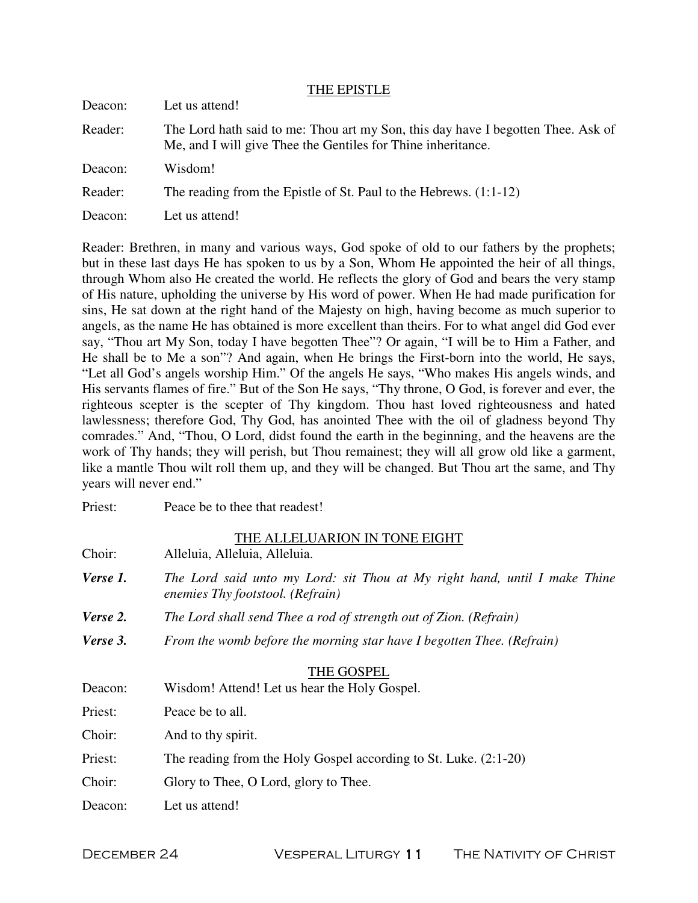|         | THE EPISTLE                                                                                                                                      |
|---------|--------------------------------------------------------------------------------------------------------------------------------------------------|
| Deacon: | Let us attend!                                                                                                                                   |
| Reader: | The Lord hath said to me: Thou art my Son, this day have I begotten Thee. Ask of<br>Me, and I will give Thee the Gentiles for Thine inheritance. |
| Deacon: | Wisdom!                                                                                                                                          |
| Reader: | The reading from the Epistle of St. Paul to the Hebrews. (1:1-12)                                                                                |
| Deacon: | Let us attend!                                                                                                                                   |

Reader: Brethren, in many and various ways, God spoke of old to our fathers by the prophets; but in these last days He has spoken to us by a Son, Whom He appointed the heir of all things, through Whom also He created the world. He reflects the glory of God and bears the very stamp of His nature, upholding the universe by His word of power. When He had made purification for sins, He sat down at the right hand of the Majesty on high, having become as much superior to angels, as the name He has obtained is more excellent than theirs. For to what angel did God ever say, "Thou art My Son, today I have begotten Thee"? Or again, "I will be to Him a Father, and He shall be to Me a son"? And again, when He brings the First-born into the world, He says, "Let all God's angels worship Him." Of the angels He says, "Who makes His angels winds, and His servants flames of fire." But of the Son He says, "Thy throne, O God, is forever and ever, the righteous scepter is the scepter of Thy kingdom. Thou hast loved righteousness and hated lawlessness; therefore God, Thy God, has anointed Thee with the oil of gladness beyond Thy comrades." And, "Thou, O Lord, didst found the earth in the beginning, and the heavens are the work of Thy hands; they will perish, but Thou remainest; they will all grow old like a garment, like a mantle Thou wilt roll them up, and they will be changed. But Thou art the same, and Thy years will never end."

Priest: Peace be to thee that readest!

| Choir:   | THE ALLELUARION IN TONE EIGHT<br>Alleluia, Alleluia, Alleluia.                                                |  |
|----------|---------------------------------------------------------------------------------------------------------------|--|
| Verse 1. | The Lord said unto my Lord: sit Thou at My right hand, until I make Thine<br>enemies Thy footstool. (Refrain) |  |
| Verse 2. | The Lord shall send Thee a rod of strength out of Zion. (Refrain)                                             |  |
| Verse 3. | From the womb before the morning star have I begotten Thee. (Refrain)                                         |  |
|          | THE GOSPEL                                                                                                    |  |
| Deacon:  | Wisdom! Attend! Let us hear the Holy Gospel.                                                                  |  |
| Priest:  | Peace be to all.                                                                                              |  |
| Choir:   | And to thy spirit.                                                                                            |  |
| Priest:  | The reading from the Holy Gospel according to St. Luke. (2:1-20)                                              |  |
| Choir:   | Glory to Thee, O Lord, glory to Thee.                                                                         |  |
| Deacon:  | Let us attend!                                                                                                |  |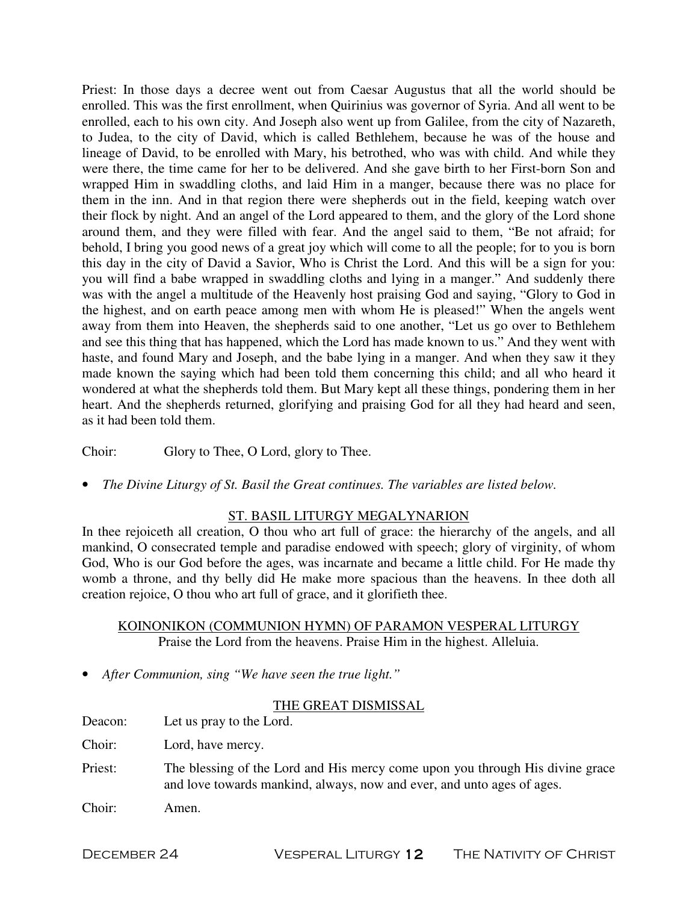Priest: In those days a decree went out from Caesar Augustus that all the world should be enrolled. This was the first enrollment, when Quirinius was governor of Syria. And all went to be enrolled, each to his own city. And Joseph also went up from Galilee, from the city of Nazareth, to Judea, to the city of David, which is called Bethlehem, because he was of the house and lineage of David, to be enrolled with Mary, his betrothed, who was with child. And while they were there, the time came for her to be delivered. And she gave birth to her First-born Son and wrapped Him in swaddling cloths, and laid Him in a manger, because there was no place for them in the inn. And in that region there were shepherds out in the field, keeping watch over their flock by night. And an angel of the Lord appeared to them, and the glory of the Lord shone around them, and they were filled with fear. And the angel said to them, "Be not afraid; for behold, I bring you good news of a great joy which will come to all the people; for to you is born this day in the city of David a Savior, Who is Christ the Lord. And this will be a sign for you: you will find a babe wrapped in swaddling cloths and lying in a manger." And suddenly there was with the angel a multitude of the Heavenly host praising God and saying, "Glory to God in the highest, and on earth peace among men with whom He is pleased!" When the angels went away from them into Heaven, the shepherds said to one another, "Let us go over to Bethlehem and see this thing that has happened, which the Lord has made known to us." And they went with haste, and found Mary and Joseph, and the babe lying in a manger. And when they saw it they made known the saying which had been told them concerning this child; and all who heard it wondered at what the shepherds told them. But Mary kept all these things, pondering them in her heart. And the shepherds returned, glorifying and praising God for all they had heard and seen, as it had been told them.

Choir: Glory to Thee, O Lord, glory to Thee.

• *The Divine Liturgy of St. Basil the Great continues. The variables are listed below.* 

## ST. BASIL LITURGY MEGALYNARION

In thee rejoiceth all creation, O thou who art full of grace: the hierarchy of the angels, and all mankind, O consecrated temple and paradise endowed with speech; glory of virginity, of whom God, Who is our God before the ages, was incarnate and became a little child. For He made thy womb a throne, and thy belly did He make more spacious than the heavens. In thee doth all creation rejoice, O thou who art full of grace, and it glorifieth thee.

## KOINONIKON (COMMUNION HYMN) OF PARAMON VESPERAL LITURGY Praise the Lord from the heavens. Praise Him in the highest. Alleluia.

• *After Communion, sing "We have seen the true light."*

## THE GREAT DISMISSAL

| Deacon: | Let us pray to the Lord. |
|---------|--------------------------|
|---------|--------------------------|

Choir: Lord, have mercy.

- Priest: The blessing of the Lord and His mercy come upon you through His divine grace and love towards mankind, always, now and ever, and unto ages of ages.
- Choir: Amen.